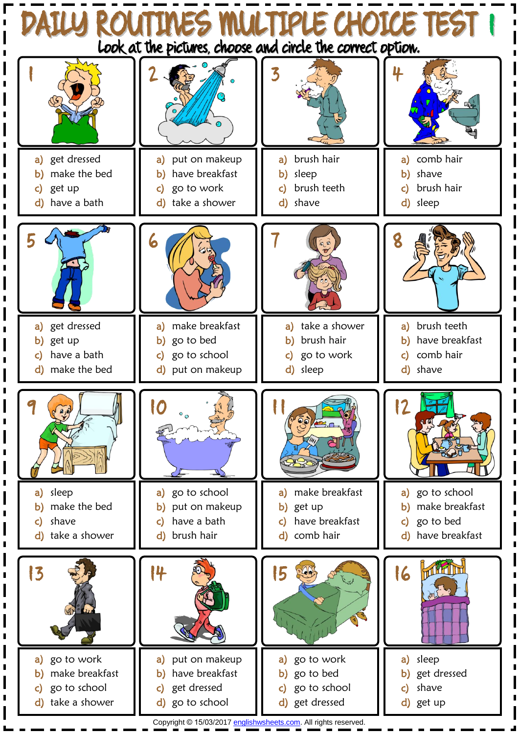

Copyright © 15/03/201[7 englishwsheets.com.](http://www.englishwsheets.com/) All rights reserved.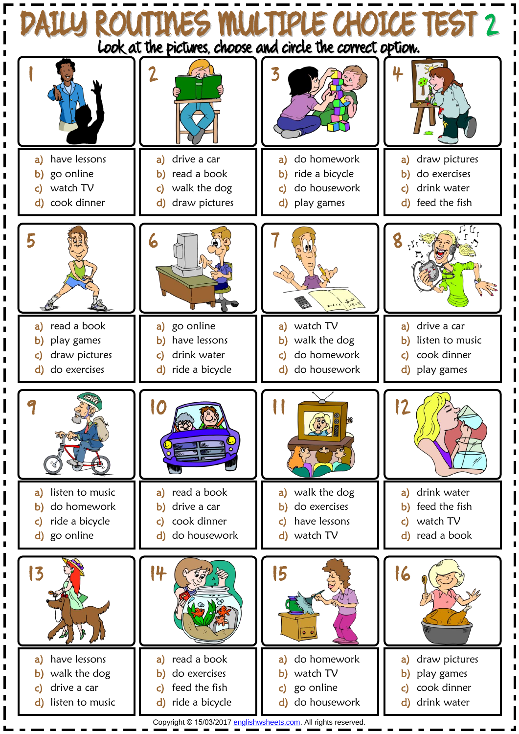

Copyright © 15/03/201[7 englishwsheets.com.](http://www.englishwsheets.com/) All rights reserved.